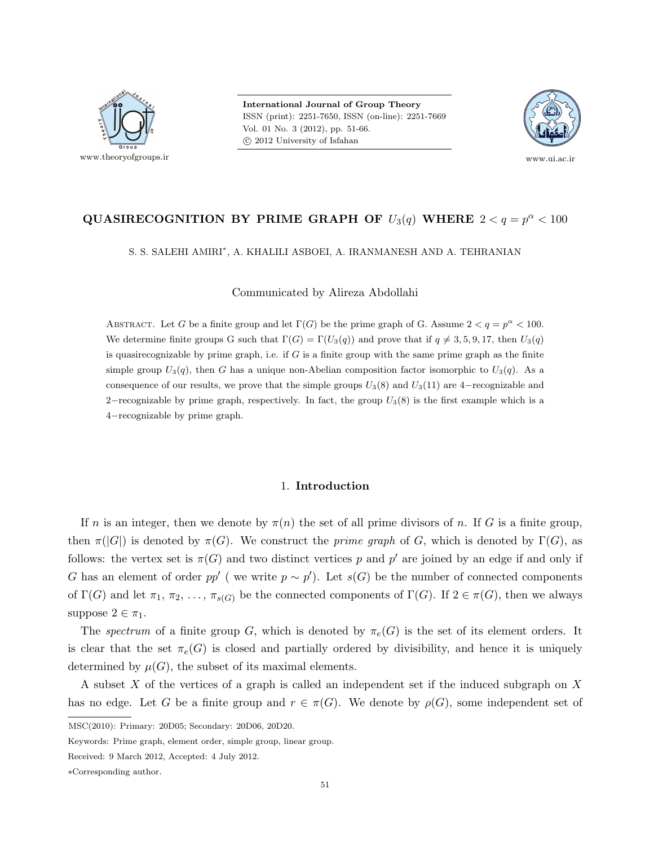

International Journal of Group Theory ISSN (print): 2251-7650, ISSN (on-line): 2251-7669 Vol. 01 No. 3 (2012), pp. 51-66. c 2012 University of Isfahan



# QUASIRECOGNITION BY PRIME GRAPH OF  $U_3(q)$  WHERE  $2 < q = p^{\alpha} < 100$

S. S. SALEHI AMIRI<sup>∗</sup> , A. KHALILI ASBOEI, A. IRANMANESH AND A. TEHRANIAN

Communicated by Alireza Abdollahi

ABSTRACT. Let G be a finite group and let  $\Gamma(G)$  be the prime graph of G. Assume  $2 < q = p^{\alpha} < 100$ . We determine finite groups G such that  $\Gamma(G) = \Gamma(U_3(q))$  and prove that if  $q \neq 3, 5, 9, 17$ , then  $U_3(q)$ is quasirecognizable by prime graph, i.e. if  $G$  is a finite group with the same prime graph as the finite simple group  $U_3(q)$ , then G has a unique non-Abelian composition factor isomorphic to  $U_3(q)$ . As a consequence of our results, we prove that the simple groups  $U_3(8)$  and  $U_3(11)$  are 4–recognizable and 2–recognizable by prime graph, respectively. In fact, the group  $U_3(8)$  is the first example which is a 4−recognizable by prime graph.

#### 1. Introduction

If n is an integer, then we denote by  $\pi(n)$  the set of all prime divisors of n. If G is a finite group, then  $\pi(|G|)$  is denoted by  $\pi(G)$ . We construct the *prime graph* of G, which is denoted by  $\Gamma(G)$ , as follows: the vertex set is  $\pi(G)$  and two distinct vertices p and p' are joined by an edge if and only if G has an element of order pp' (we write  $p \sim p'$ ). Let s(G) be the number of connected components of  $\Gamma(G)$  and let  $\pi_1, \pi_2, \ldots, \pi_{s(G)}$  be the connected components of  $\Gamma(G)$ . If  $2 \in \pi(G)$ , then we always suppose  $2 \in \pi_1$ .

The spectrum of a finite group G, which is denoted by  $\pi_e(G)$  is the set of its element orders. It is clear that the set  $\pi_e(G)$  is closed and partially ordered by divisibility, and hence it is uniquely determined by  $\mu(G)$ , the subset of its maximal elements.

A subset X of the vertices of a graph is called an independent set if the induced subgraph on X has no edge. Let G be a finite group and  $r \in \pi(G)$ . We denote by  $\rho(G)$ , some independent set of

MSC(2010): Primary: 20D05; Secondary: 20D06, 20D20.

Keywords: Prime graph, element order, simple group, linear group.

Received: 9 March 2012, Accepted: 4 July 2012.

<sup>∗</sup>Corresponding author.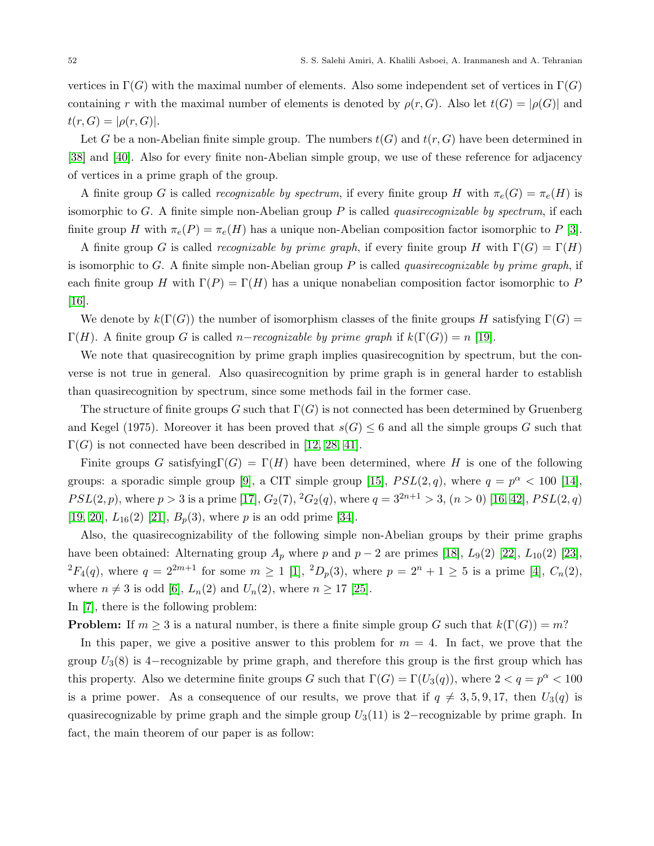vertices in  $\Gamma(G)$  with the maximal number of elements. Also some independent set of vertices in  $\Gamma(G)$ containing r with the maximal number of elements is denoted by  $\rho(r, G)$ . Also let  $t(G) = |\rho(G)|$  and  $t(r, G) = |\rho(r, G)|.$ 

Let G be a non-Abelian finite simple group. The numbers  $t(G)$  and  $t(r, G)$  have been determined in [\[38\]](#page-15-0) and [\[40\]](#page-15-1). Also for every finite non-Abelian simple group, we use of these reference for adjacency of vertices in a prime graph of the group.

A finite group G is called recognizable by spectrum, if every finite group H with  $\pi_e(G) = \pi_e(H)$  is isomorphic to  $G$ . A finite simple non-Abelian group  $P$  is called *quasirecognizable by spectrum*, if each finite group H with  $\pi_e(P) = \pi_e(H)$  has a unique non-Abelian composition factor isomorphic to P [\[3\]](#page-14-0).

A finite group G is called recognizable by prime graph, if every finite group H with  $\Gamma(G) = \Gamma(H)$ is isomorphic to G. A finite simple non-Abelian group P is called *quasirecognizable by prime graph*, if each finite group H with  $\Gamma(P) = \Gamma(H)$  has a unique nonabelian composition factor isomorphic to P [\[16\]](#page-14-1).

We denote by  $k(\Gamma(G))$  the number of isomorphism classes of the finite groups H satisfying  $\Gamma(G)$  =  $\Gamma(H)$ . A finite group G is called *n*−recognizable by prime graph if  $k(\Gamma(G)) = n$  [\[19\]](#page-14-2).

We note that quasirecognition by prime graph implies quasirecognition by spectrum, but the converse is not true in general. Also quasirecognition by prime graph is in general harder to establish than quasirecognition by spectrum, since some methods fail in the former case.

The structure of finite groups G such that  $\Gamma(G)$  is not connected has been determined by Gruenberg and Kegel (1975). Moreover it has been proved that  $s(G) \leq 6$  and all the simple groups G such that  $\Gamma(G)$  is not connected have been described in [\[12,](#page-14-3) [28,](#page-14-4) [41\]](#page-15-2).

Finite groups G satisfying $\Gamma(G) = \Gamma(H)$  have been determined, where H is one of the following groups: a sporadic simple group [\[9\]](#page-14-5), a CIT simple group [\[15\]](#page-14-6),  $PSL(2,q)$ , where  $q = p^{\alpha} < 100$  [\[14\]](#page-14-7),  $PSL(2, p)$ , where  $p > 3$  is a prime [\[17\]](#page-14-8),  $G_2(7), {}^2G_2(q)$ , where  $q = 3^{2n+1} > 3$ ,  $(n > 0)$  [\[16,](#page-14-1) [42\]](#page-15-3),  $PSL(2, q)$ [\[19,](#page-14-2) [20\]](#page-14-9),  $L_{16}(2)$  [\[21\]](#page-14-10),  $B_{p}(3)$ , where p is an odd prime [\[34\]](#page-15-4).

Also, the quasirecognizability of the following simple non-Abelian groups by their prime graphs have been obtained: Alternating group  $A_p$  where p and  $p-2$  are primes [\[18\]](#page-14-11),  $L_9(2)$  [\[22\]](#page-14-12),  $L_{10}(2)$  [\[23\]](#page-14-13),  ${}^{2}F_{4}(q)$ , where  $q = 2^{2m+1}$  for some  $m \ge 1$  [\[1\]](#page-13-0),  ${}^{2}D_{p}(3)$ , where  $p = 2^{n} + 1 \ge 5$  is a prime [\[4\]](#page-14-14),  $C_{n}(2)$ , where  $n \neq 3$  is odd [\[6\]](#page-14-15),  $L_n(2)$  and  $U_n(2)$ , where  $n \geq 17$  [\[25\]](#page-14-16).

In [\[7\]](#page-14-17), there is the following problem:

**Problem:** If  $m \geq 3$  is a natural number, is there a finite simple group G such that  $k(\Gamma(G)) = m$ ?

In this paper, we give a positive answer to this problem for  $m = 4$ . In fact, we prove that the group  $U_3(8)$  is 4–recognizable by prime graph, and therefore this group is the first group which has this property. Also we determine finite groups G such that  $\Gamma(G) = \Gamma(U_3(q))$ , where  $2 < q = p^{\alpha} < 100$ is a prime power. As a consequence of our results, we prove that if  $q \neq 3, 5, 9, 17$ , then  $U_3(q)$  is quasirecognizable by prime graph and the simple group  $U_3(11)$  is 2−recognizable by prime graph. In fact, the main theorem of our paper is as follow: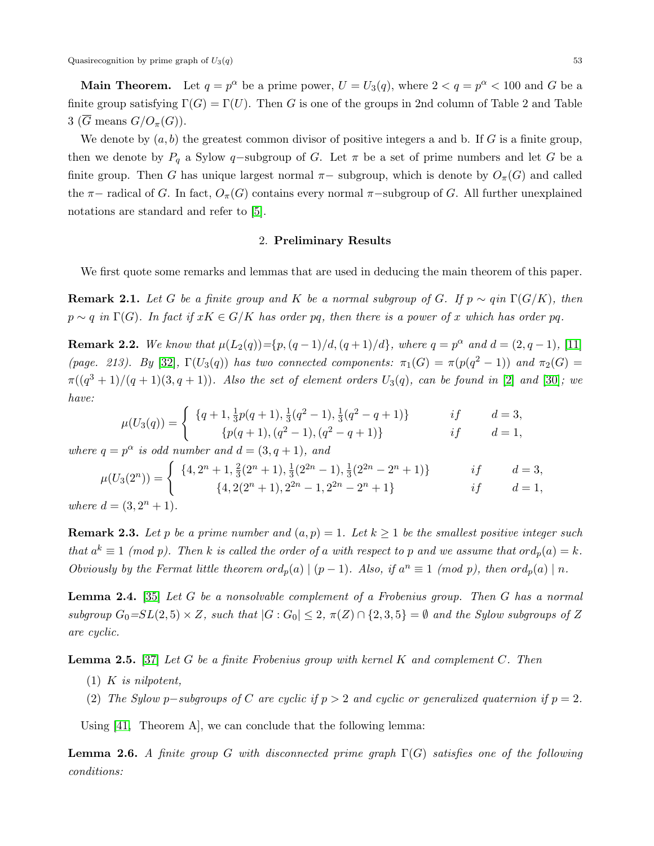**Main Theorem.** Let  $q = p^{\alpha}$  be a prime power,  $U = U_3(q)$ , where  $2 < q = p^{\alpha} < 100$  and G be a finite group satisfying  $\Gamma(G) = \Gamma(U)$ . Then G is one of the groups in 2nd column of Table 2 and Table 3 ( $\overline{G}$  means  $G/O_{\pi}(G)$ ).

We denote by  $(a, b)$  the greatest common divisor of positive integers a and b. If G is a finite group, then we denote by  $P_q$  a Sylow q-subgroup of G. Let  $\pi$  be a set of prime numbers and let G be a finite group. Then G has unique largest normal  $\pi-$  subgroup, which is denote by  $O_{\pi}(G)$  and called the  $\pi$ − radical of G. In fact,  $O_{\pi}(G)$  contains every normal  $\pi$ −subgroup of G. All further unexplained notations are standard and refer to [\[5\]](#page-14-18).

## 2. Preliminary Results

We first quote some remarks and lemmas that are used in deducing the main theorem of this paper.

**Remark 2.1.** Let G be a finite group and K be a normal subgroup of G. If  $p \sim q$ in  $\Gamma(G/K)$ , then  $p \sim q$  in  $\Gamma(G)$ . In fact if  $xK \in G/K$  has order pq, then there is a power of x which has order pq.

**Remark 2.2.** We know that  $\mu(L_2(q)) = \{p, (q-1)/d, (q+1)/d\}$ , where  $q = p^{\alpha}$  and  $d = (2, q-1)$ , [\[11\]](#page-14-19) (page. 213). By [\[32\]](#page-15-5),  $\Gamma(U_3(q))$  has two connected components:  $\pi_1(G) = \pi(p(q^2 - 1))$  and  $\pi_2(G)$  $\pi((q^3+1)/(q+1)(3,q+1)).$  Also the set of element orders  $U_3(q)$ , can be found in [\[2\]](#page-14-20) and [\[30\]](#page-15-6); we have:

$$
\mu(U_3(q)) = \begin{cases} \n\{q+1, \frac{1}{3}p(q+1), \frac{1}{3}(q^2-1), \frac{1}{3}(q^2-q+1)\} & \text{if} \quad d=3, \\
\{p(q+1), (q^2-1), (q^2-q+1)\} & \text{if} \quad d=1,\n\end{cases}
$$

where  $q = p^{\alpha}$  is odd number and  $d = (3, q + 1)$ , and

$$
\mu(U_3(2^n)) = \begin{cases} \{4, 2^n + 1, \frac{2}{3}(2^n + 1), \frac{1}{3}(2^{2n} - 1), \frac{1}{3}(2^{2n} - 2^n + 1)\} & \text{if} \quad d = 3, \\ \{4, 2(2^n + 1), 2^{2n} - 1, 2^{2n} - 2^n + 1\} & \text{if} \quad d = 1, \\ \text{where } d = (3, 2^n + 1). & \text{otherwise} \end{cases}
$$

**Remark 2.3.** Let p be a prime number and  $(a, p) = 1$ . Let  $k \ge 1$  be the smallest positive integer such that  $a^k \equiv 1 \pmod{p}$ . Then k is called the order of a with respect to p and we assume that  $\text{ord}_p(a) = k$ . Obviously by the Fermat little theorem  $\mathrm{ord}_p(a) \mid (p-1)$ . Also, if  $a^n \equiv 1 \pmod{p}$ , then  $\mathrm{ord}_p(a) \mid n$ .

**Lemma 2.4.** [\[35\]](#page-15-7) Let G be a nonsolvable complement of a Frobenius group. Then G has a normal subgroup  $G_0=SL(2,5)\times Z$ , such that  $|G:G_0|\leq 2$ ,  $\pi(Z)\cap \{2,3,5\}=\emptyset$  and the Sylow subgroups of Z are cyclic.

**Lemma 2.5.** [\[37\]](#page-15-8) Let G be a finite Frobenius group with kernel K and complement C. Then

- $(1)$  K is nilpotent,
- (2) The Sylow p-subgroups of C are cyclic if  $p > 2$  and cyclic or generalized quaternion if  $p = 2$ .

Using [\[41,](#page-15-2) Theorem A], we can conclude that the following lemma:

**Lemma 2.6.** A finite group G with disconnected prime graph  $\Gamma(G)$  satisfies one of the following conditions: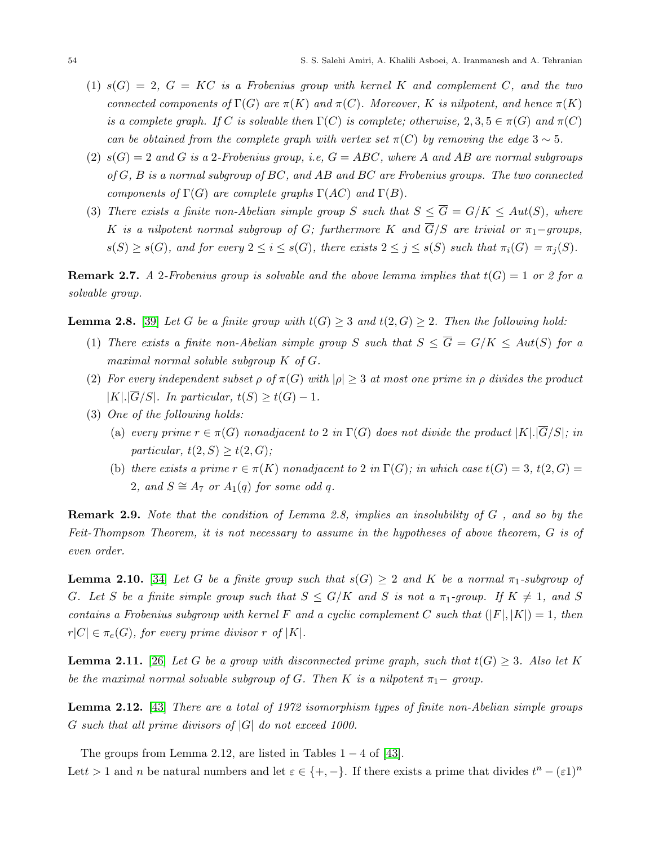- $(1)$   $s(G) = 2$ ,  $G = KC$  is a Frobenius group with kernel K and complement C, and the two connected components of  $\Gamma(G)$  are  $\pi(K)$  and  $\pi(C)$ . Moreover, K is nilpotent, and hence  $\pi(K)$ is a complete graph. If C is solvable then  $\Gamma(C)$  is complete; otherwise, 2, 3,  $5 \in \pi(G)$  and  $\pi(C)$ can be obtained from the complete graph with vertex set  $\pi(C)$  by removing the edge 3 ~ 5.
- (2)  $s(G) = 2$  and G is a 2-Frobenius group, i.e,  $G = ABC$ , where A and AB are normal subgroups of  $G, B$  is a normal subgroup of  $BC$ , and  $AB$  and  $BC$  are Frobenius groups. The two connected components of  $\Gamma(G)$  are complete graphs  $\Gamma(AC)$  and  $\Gamma(B)$ .
- (3) There exists a finite non-Abelian simple group S such that  $S \leq \overline{G} = G/K \leq Aut(S)$ , where K is a nilpotent normal subgroup of G; furthermore K and  $\overline{G}/S$  are trivial or  $\pi_1$ -groups,  $s(S) \geq s(G)$ , and for every  $2 \leq i \leq s(G)$ , there exists  $2 \leq j \leq s(S)$  such that  $\pi_i(G) = \pi_i(S)$ .

**Remark 2.7.** A 2-Frobenius group is solvable and the above lemma implies that  $t(G) = 1$  or 2 for a solvable group.

**Lemma 2.8.** [\[39\]](#page-15-9) Let G be a finite group with  $t(G) \geq 3$  and  $t(2, G) \geq 2$ . Then the following hold:

- (1) There exists a finite non-Abelian simple group S such that  $S \leq \overline{G} = G/K \leq Aut(S)$  for a maximal normal soluble subgroup K of G.
- (2) For every independent subset  $\rho$  of  $\pi(G)$  with  $|\rho| \geq 3$  at most one prime in  $\rho$  divides the product  $|K|.|\overline{G}/S|$ . In particular,  $t(S) \geq t(G) - 1$ .
- (3) One of the following holds:
	- (a) every prime  $r \in \pi(G)$  nonadjacent to 2 in  $\Gamma(G)$  does not divide the product  $|K|$ .  $|\overline{G}/S|$ ; in particular,  $t(2, S) \geq t(2, G);$
	- (b) there exists a prime  $r \in \pi(K)$  nonadjacent to 2 in  $\Gamma(G)$ ; in which case  $t(G) = 3$ ,  $t(2, G) =$ 2, and  $S \cong A_7$  or  $A_1(q)$  for some odd q.

**Remark 2.9.** Note that the condition of Lemma 2.8, implies an insolubility of G, and so by the Feit-Thompson Theorem, it is not necessary to assume in the hypotheses of above theorem, G is of even order.

**Lemma 2.10.** [\[34\]](#page-15-4) Let G be a finite group such that  $s(G) \geq 2$  and K be a normal  $\pi_1$ -subgroup of G. Let S be a finite simple group such that  $S \le G/K$  and S is not a  $\pi_1$ -group. If  $K \neq 1$ , and S contains a Frobenius subgroup with kernel F and a cyclic complement C such that  $(|F|, |K|) = 1$ , then  $r|C| \in \pi_e(G)$ , for every prime divisor r of |K|.

**Lemma 2.11.** [\[26\]](#page-14-21) Let G be a group with disconnected prime graph, such that  $t(G) \geq 3$ . Also let K be the maximal normal solvable subgroup of G. Then K is a nilpotent  $\pi_1$  group.

**Lemma 2.12.** [\[43\]](#page-15-10) There are a total of 1972 isomorphism types of finite non-Abelian simple groups G such that all prime divisors of  $|G|$  do not exceed 1000.

The groups from Lemma 2.12, are listed in Tables  $1 - 4$  of [\[43\]](#page-15-10).

Let t > 1 and n be natural numbers and let  $\varepsilon \in \{+, -\}$ . If there exists a prime that divides  $t^n - (\varepsilon 1)^n$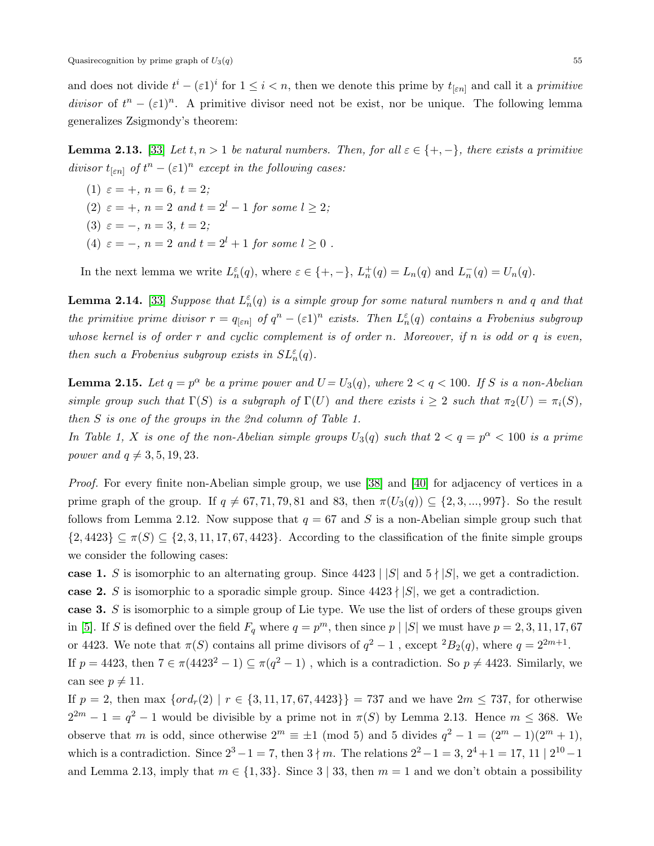and does not divide  $t^i - (\varepsilon 1)^i$  for  $1 \leq i < n$ , then we denote this prime by  $t_{[\varepsilon n]}$  and call it a primitive divisor of  $t^n - (\varepsilon 1)^n$ . A primitive divisor need not be exist, nor be unique. The following lemma generalizes Zsigmondy's theorem:

**Lemma 2.13.** [\[33\]](#page-15-11) Let  $t, n > 1$  be natural numbers. Then, for all  $\varepsilon \in \{+, -\}$ , there exists a primitive divisor  $t_{\lbrack \varepsilon n \rbrack}$  of  $t^n - (\varepsilon 1)^n$  except in the following cases:

- (1)  $\varepsilon = +$ ,  $n = 6$ ,  $t = 2$ ;
- (2)  $\varepsilon = +$ ,  $n = 2$  and  $t = 2<sup>l</sup> 1$  for some  $l \ge 2$ ;
- (3)  $\varepsilon = -$ ,  $n = 3$ ,  $t = 2$ ;
- (4)  $\varepsilon = -$ ,  $n = 2$  and  $t = 2<sup>l</sup> + 1$  for some  $l > 0$ .

In the next lemma we write  $L_n^{\varepsilon}(q)$ , where  $\varepsilon \in \{+, -\}, L_n^+(q) = L_n(q)$  and  $L_n^-(q) = U_n(q)$ .

**Lemma 2.14.** [\[33\]](#page-15-11) Suppose that  $L_n^{\varepsilon}(q)$  is a simple group for some natural numbers n and q and that the primitive prime divisor  $r = q_{[\varepsilon n]}$  of  $q^n - (\varepsilon 1)^n$  exists. Then  $L_n^{\varepsilon}(q)$  contains a Frobenius subgroup whose kernel is of order r and cyclic complement is of order n. Moreover, if n is odd or q is even, then such a Frobenius subgroup exists in  $SL_n^{\varepsilon}(q)$ .

**Lemma 2.15.** Let  $q = p^{\alpha}$  be a prime power and  $U = U_3(q)$ , where  $2 < q < 100$ . If S is a non-Abelian simple group such that  $\Gamma(S)$  is a subgraph of  $\Gamma(U)$  and there exists  $i \geq 2$  such that  $\pi_2(U) = \pi_i(S)$ , then S is one of the groups in the 2nd column of Table 1.

In Table 1, X is one of the non-Abelian simple groups  $U_3(q)$  such that  $2 < q = p^{\alpha} < 100$  is a prime power and  $q \neq 3, 5, 19, 23$ .

Proof. For every finite non-Abelian simple group, we use [\[38\]](#page-15-0) and [\[40\]](#page-15-1) for adjacency of vertices in a prime graph of the group. If  $q \neq 67, 71, 79, 81$  and 83, then  $\pi(U_3(q)) \subseteq \{2, 3, ..., 997\}$ . So the result follows from Lemma 2.12. Now suppose that  $q = 67$  and S is a non-Abelian simple group such that  $\{2,4423\} \subseteq \pi(S) \subseteq \{2,3,11,17,67,4423\}$ . According to the classification of the finite simple groups we consider the following cases:

case 1. S is isomorphic to an alternating group. Since  $4423 \mid |S|$  and  $5 \nmid |S|$ , we get a contradiction. case 2. S is isomorphic to a sporadic simple group. Since  $4423 \nmid |S|$ , we get a contradiction.

case 3. S is isomorphic to a simple group of Lie type. We use the list of orders of these groups given in [\[5\]](#page-14-18). If S is defined over the field  $F_q$  where  $q = p^m$ , then since  $p \mid |S|$  we must have  $p = 2, 3, 11, 17, 67$ or 4423. We note that  $\pi(S)$  contains all prime divisors of  $q^2 - 1$ , except  ${}^2B_2(q)$ , where  $q = 2^{2m+1}$ . If  $p = 4423$ , then  $7 \in \pi(4423^2 - 1) \subseteq \pi(q^2 - 1)$ , which is a contradiction. So  $p \neq 4423$ . Similarly, we can see  $p \neq 11$ .

If  $p = 2$ , then max  $\{ord_r(2) \mid r \in \{3, 11, 17, 67, 4423\}\} = 737$  and we have  $2m \le 737$ , for otherwise  $2^{2m} - 1 = q^2 - 1$  would be divisible by a prime not in  $\pi(S)$  by Lemma 2.13. Hence  $m \leq 368$ . We observe that m is odd, since otherwise  $2^m \equiv \pm 1 \pmod{5}$  and 5 divides  $q^2 - 1 = (2^m - 1)(2^m + 1)$ , which is a contradiction. Since  $2^3 - 1 = 7$ , then  $3 \nmid m$ . The relations  $2^2 - 1 = 3$ ,  $2^4 + 1 = 17$ ,  $11 \mid 2^{10} - 1$ and Lemma 2.13, imply that  $m \in \{1, 33\}$ . Since 3 | 33, then  $m = 1$  and we don't obtain a possibility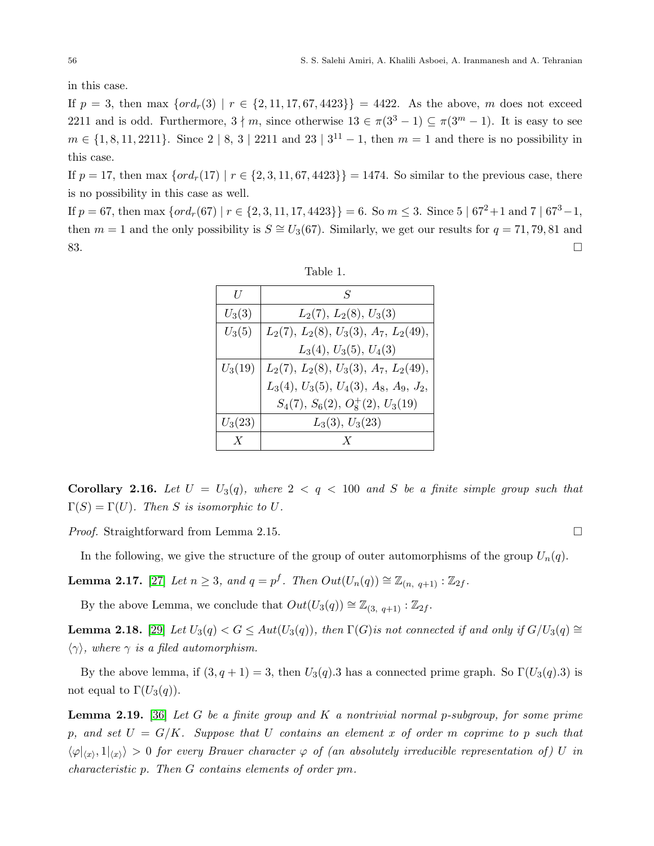in this case.

If  $p = 3$ , then max  $\{ord_r(3) \mid r \in \{2, 11, 17, 67, 4423\}\} = 4422$ . As the above, m does not exceed 2211 and is odd. Furthermore,  $3 \nmid m$ , since otherwise  $13 \in \pi(3^3 - 1) \subseteq \pi(3^m - 1)$ . It is easy to see  $m \in \{1, 8, 11, 2211\}$ . Since  $2 \mid 8, 3 \mid 2211$  and  $23 \mid 3^{11} - 1$ , then  $m = 1$  and there is no possibility in this case.

If  $p = 17$ , then max  $\{ord_r(17) \mid r \in \{2, 3, 11, 67, 4423\}\} = 1474$ . So similar to the previous case, there is no possibility in this case as well.

If  $p = 67$ , then max  $\{ord_r(67) \mid r \in \{2, 3, 11, 17, 4423\}\} = 6$ . So  $m \leq 3$ . Since  $5 \mid 67^2 + 1$  and  $7 \mid 67^3 - 1$ , then  $m = 1$  and the only possibility is  $S \cong U_3(67)$ . Similarly, we get our results for  $q = 71, 79, 81$  and  $83.$ 

| H                | $\mathcal{S}$                                            |
|------------------|----------------------------------------------------------|
| $U_3(3)$         | $L_2(7), L_2(8), U_3(3)$                                 |
| $U_3(5)$         | $L_2(7), L_2(8), U_3(3), A_7, L_2(49),$                  |
|                  | $L_3(4)$ , $U_3(5)$ , $U_4(3)$                           |
| $U_3(19)$        | $L_2(7), L_2(8), U_3(3), A_7, L_2(49),$                  |
|                  | $L_3(4)$ , $U_3(5)$ , $U_4(3)$ , $A_8$ , $A_9$ , $J_2$ , |
|                  | $S_4(7), S_6(2), O_8^+(2), U_3(19)$                      |
| $U_3(23)$        | $L_3(3), U_3(23)$                                        |
| $\boldsymbol{X}$ | Y                                                        |

Table 1.

**Corollary 2.16.** Let  $U = U_3(q)$ , where  $2 < q < 100$  and S be a finite simple group such that  $\Gamma(S) = \Gamma(U)$ . Then S is isomorphic to U.

*Proof.* Straightforward from Lemma 2.15. □

In the following, we give the structure of the group of outer automorphisms of the group  $U_n(q)$ .

**Lemma 2.17.** [\[27\]](#page-14-22) Let  $n \geq 3$ , and  $q = p^f$ . Then  $Out(U_n(q)) \cong \mathbb{Z}_{(n, q+1)} : \mathbb{Z}_{2f}$ .

By the above Lemma, we conclude that  $Out(U_3(q)) \cong \mathbb{Z}_{(3, q+1)} : \mathbb{Z}_{2f}$ .

**Lemma 2.18.** [\[29\]](#page-15-12) Let  $U_3(q) < G \leq Aut(U_3(q))$ , then  $\Gamma(G)$  is not connected if and only if  $G/U_3(q) \cong$  $\langle \gamma \rangle$ , where  $\gamma$  is a filed automorphism.

By the above lemma, if  $(3, q + 1) = 3$ , then  $U_3(q).3$  has a connected prime graph. So  $\Gamma(U_3(q).3)$  is not equal to  $\Gamma(U_3(q))$ .

**Lemma 2.19.** [\[36\]](#page-15-13) Let G be a finite group and K a nontrivial normal p-subgroup, for some prime p, and set  $U = G/K$ . Suppose that U contains an element x of order m coprime to p such that  $\langle \varphi|_{\langle x \rangle}, 1|_{\langle x \rangle} \rangle > 0$  for every Brauer character  $\varphi$  of (an absolutely irreducible representation of) U in characteristic p. Then G contains elements of order pm.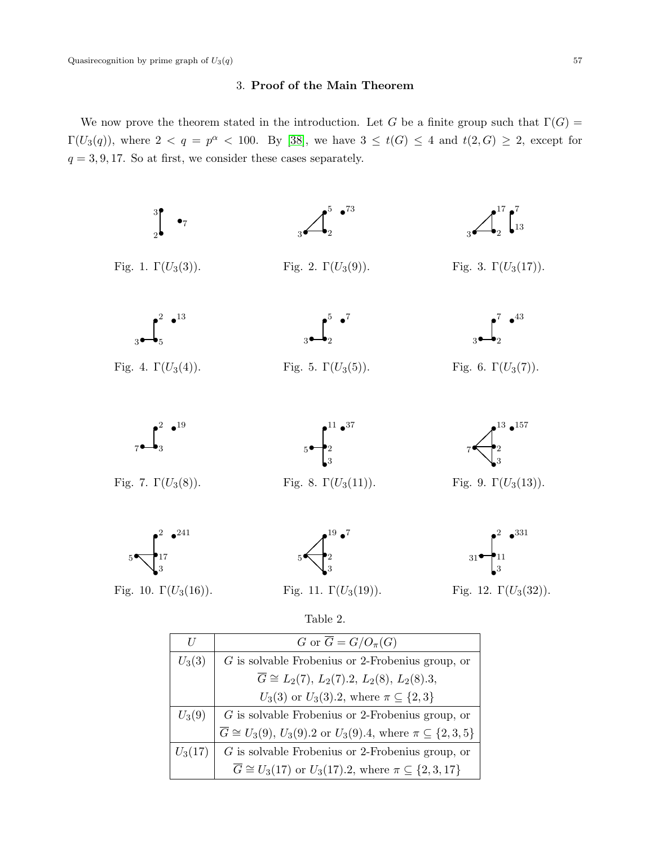## 3. Proof of the Main Theorem

We now prove the theorem stated in the introduction. Let G be a finite group such that  $\Gamma(G)$  =  $\Gamma(U_3(q))$ , where  $2 < q = p^{\alpha} < 100$ . By [\[38\]](#page-15-0), we have  $3 \leq t(G) \leq 4$  and  $t(2, G) \geq 2$ , except for  $q = 3, 9, 17$ . So at first, we consider these cases separately.



| H         | G or $\overline{G} = G/O_{\pi}(G)$                                                    |
|-----------|---------------------------------------------------------------------------------------|
| $U_3(3)$  | $G$ is solvable Frobenius or 2-Frobenius group, or                                    |
|           | $\overline{G} \cong L_2(7), L_2(7).2, L_2(8), L_2(8).3,$                              |
|           | $U_3(3)$ or $U_3(3).2$ , where $\pi \subseteq \{2,3\}$                                |
| $U_3(9)$  | $G$ is solvable Frobenius or 2-Frobenius group, or                                    |
|           | $\overline{G} \cong U_3(9), U_3(9).2$ or $U_3(9).4$ , where $\pi \subseteq \{2,3,5\}$ |
| $U_3(17)$ | $G$ is solvable Frobenius or 2-Frobenius group, or                                    |
|           | $\overline{G} \cong U_3(17)$ or $U_3(17).2$ , where $\pi \subseteq \{2,3,17\}$        |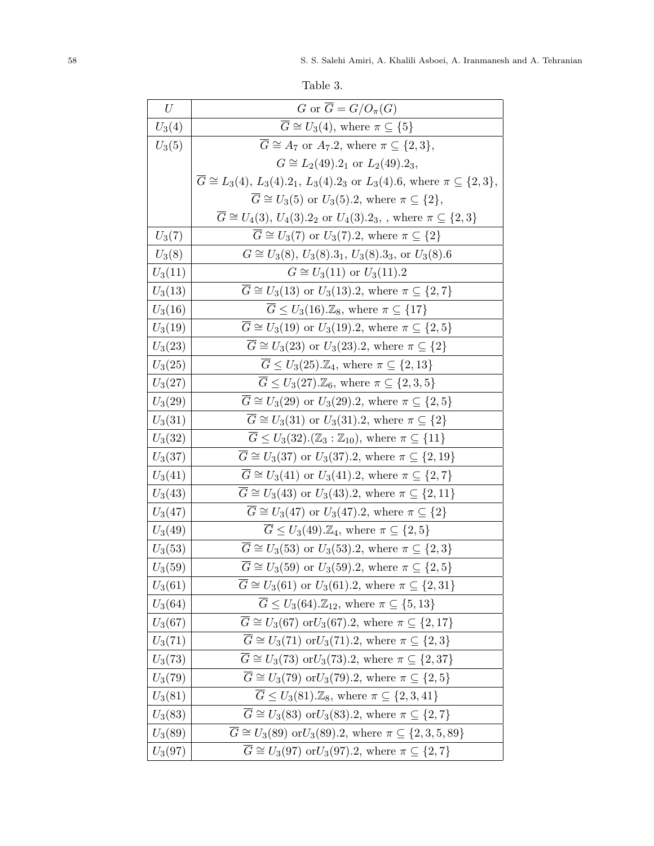| Table 3. |
|----------|
|----------|

| U         | G or $\overline{G} = G/O_{\pi}(G)$                                                                 |
|-----------|----------------------------------------------------------------------------------------------------|
| $U_3(4)$  | $\overline{G} \cong U_3(4)$ , where $\pi \subseteq \{5\}$                                          |
| $U_3(5)$  | $\overline{G} \cong A_7$ or $A_7.2$ , where $\pi \subseteq \{2,3\},\$                              |
|           | $G \cong L_2(49).2_1$ or $L_2(49).2_3$ ,                                                           |
|           | $\overline{G} \cong L_3(4), L_3(4).2_1, L_3(4).2_3$ or $L_3(4).6$ , where $\pi \subseteq \{2,3\},$ |
|           | $\overline{G} \cong U_3(5)$ or $U_3(5).2$ , where $\pi \subseteq \{2\},\$                          |
|           | $\overline{G} \cong U_4(3), U_4(3).2_2$ or $U_4(3).2_3$ , where $\pi \subseteq \{2,3\}$            |
| $U_3(7)$  | $G \cong U_3(7)$ or $U_3(7).2$ , where $\pi \subseteq \{2\}$                                       |
| $U_3(8)$  | $G \cong U_3(8), U_3(8).3_1, U_3(8).3_3$ , or $U_3(8).6$                                           |
| $U_3(11)$ | $G \cong U_3(11)$ or $U_3(11).2$                                                                   |
| $U_3(13)$ | $\overline{G} \cong U_3(13)$ or $U_3(13).2$ , where $\pi \subseteq \{2,7\}$                        |
| $U_3(16)$ | $\overline{G} \leq U_3(16) \text{.} \mathbb{Z}_8$ , where $\pi \subseteq \{17\}$                   |
| $U_3(19)$ | $\overline{G} \cong U_3(19)$ or $U_3(19)$ .2, where $\pi \subseteq \{2,5\}$                        |
| $U_3(23)$ | $\overline{G} \cong U_3(23)$ or $U_3(23).2$ , where $\pi \subseteq \{2\}$                          |
| $U_3(25)$ | $G \leq U_3(25)\mathcal{Z}_4$ , where $\pi \subseteq \{2, 13\}$                                    |
| $U_3(27)$ | $G \leq U_3(27) \text{.} \mathbb{Z}_6$ , where $\pi \subseteq \{2,3,5\}$                           |
| $U_3(29)$ | $G \cong U_3(29)$ or $U_3(29).2$ , where $\pi \subseteq \{2, 5\}$                                  |
| $U_3(31)$ | $G \cong U_3(31)$ or $U_3(31).2$ , where $\pi \subseteq \{2\}$                                     |
| $U_3(32)$ | $\overline{G} \leq U_3(32) \cdot (\mathbb{Z}_3 : \mathbb{Z}_{10}),$ where $\pi \subseteq \{11\}$   |
| $U_3(37)$ | $G \cong U_3(37)$ or $U_3(37).2$ , where $\pi \subseteq \{2, 19\}$                                 |
| $U_3(41)$ | $G \cong U_3(41)$ or $U_3(41).2$ , where $\pi \subseteq \{2, 7\}$                                  |
| $U_3(43)$ | $G \cong U_3(43)$ or $U_3(43).2$ , where $\pi \subseteq \{2, 11\}$                                 |
| $U_3(47)$ | $G \cong U_3(47)$ or $U_3(47).2$ , where $\pi \subseteq \{2\}$                                     |
| $U_3(49)$ | $G \leq U_3(49) \mathbb{Z}_4$ , where $\pi \subseteq \{2,5\}$                                      |
| $U_3(53)$ | $G \cong U_3(53)$ or $U_3(53).2$ , where $\pi \subseteq \{2,3\}$                                   |
| $U_3(59)$ | $\overline{G} \cong U_3(59)$ or $U_3(59).2$ , where $\pi \subseteq \{2,5\}$                        |
| $U_3(61)$ | $\overline{G} \cong U_3(61)$ or $U_3(61)$ .2, where $\pi \subseteq \{2,31\}$                       |
| $U_3(64)$ | $\overline{G} \leq U_3(64) \cdot \mathbb{Z}_{12}$ , where $\pi \subseteq \{5, 13\}$                |
| $U_3(67)$ | $\overline{G} \cong U_3(67)$ or $U_3(67)$ .2, where $\pi \subseteq \{2, 17\}$                      |
| $U_3(71)$ | $\overline{G} \cong U_3(71)$ or $U_3(71)$ .2, where $\pi \subseteq \{2,3\}$                        |
| $U_3(73)$ | $G \cong U_3(73) \text{ or } U_3(73).2$ , where $\pi \subseteq \{2,37\}$                           |
| $U_3(79)$ | $\overline{G} \cong U_3(79)$ or $U_3(79)$ . 2, where $\pi \subseteq \{2, 5\}$                      |
| $U_3(81)$ | $\overline{G} \leq U_3(81).\mathbb{Z}_8$ , where $\pi \subseteq \{2,3,41\}$                        |
| $U_3(83)$ | $\overline{G} \cong U_3(83)$ or $U_3(83)$ .2, where $\pi \subseteq \{2, 7\}$                       |
| $U_3(89)$ | $\overline{G} \cong U_3(89) \text{ or } U_3(89)$ .2, where $\pi \subseteq \{2, 3, 5, 89\}$         |
| $U_3(97)$ | $\overline{G} \cong U_3(97)$ or $U_3(97)$ .2, where $\pi \subseteq \{2, 7\}$                       |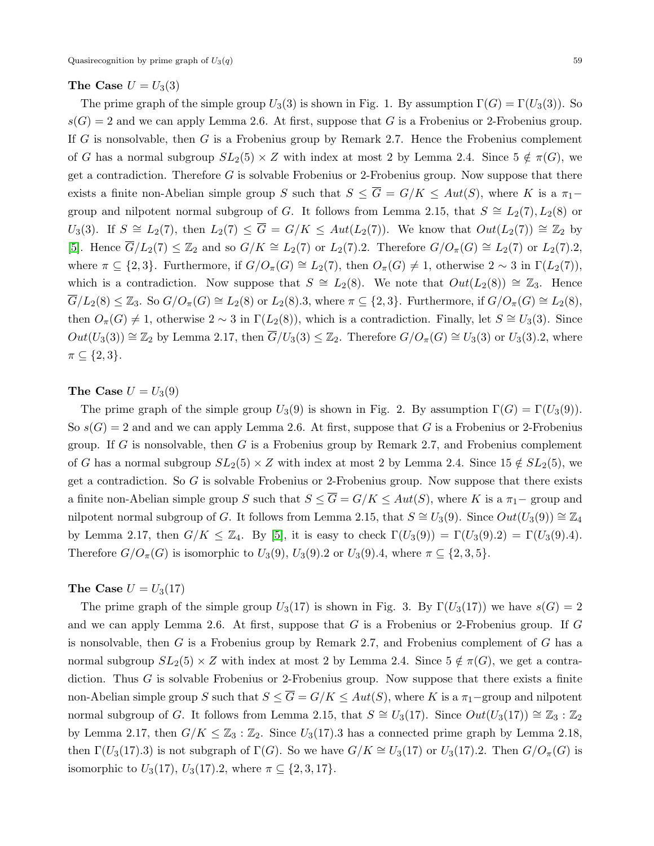### The Case  $U = U_3(3)$

The prime graph of the simple group  $U_3(3)$  is shown in Fig. 1. By assumption  $\Gamma(G) = \Gamma(U_3(3))$ . So  $s(G) = 2$  and we can apply Lemma 2.6. At first, suppose that G is a Frobenius or 2-Frobenius group. If G is nonsolvable, then G is a Frobenius group by Remark 2.7. Hence the Frobenius complement of G has a normal subgroup  $SL_2(5) \times Z$  with index at most 2 by Lemma 2.4. Since  $5 \notin \pi(G)$ , we get a contradiction. Therefore  $G$  is solvable Frobenius or 2-Frobenius group. Now suppose that there exists a finite non-Abelian simple group S such that  $S \leq \overline{G} = G/K \leq Aut(S)$ , where K is a  $\pi_1$ group and nilpotent normal subgroup of G. It follows from Lemma 2.15, that  $S \cong L_2(7), L_2(8)$  or  $U_3(3)$ . If  $S \cong L_2(7)$ , then  $L_2(7) \leq \overline{G} = G/K \leq Aut(L_2(7))$ . We know that  $Out(L_2(7)) \cong \mathbb{Z}_2$  by [\[5\]](#page-14-18). Hence  $\overline{G}/L_2(7) \leq \mathbb{Z}_2$  and so  $G/K \cong L_2(7)$  or  $L_2(7)$ . Therefore  $G/O_\pi(G) \cong L_2(7)$  or  $L_2(7)$ . 2, where  $\pi \subseteq \{2,3\}$ . Furthermore, if  $G/O_{\pi}(G) \cong L_2(7)$ , then  $O_{\pi}(G) \neq 1$ , otherwise  $2 \sim 3$  in  $\Gamma(L_2(7))$ , which is a contradiction. Now suppose that  $S \cong L_2(8)$ . We note that  $Out(L_2(8)) \cong \mathbb{Z}_3$ . Hence  $\overline{G}/L_2(8) \leq \mathbb{Z}_3$ . So  $G/O_\pi(G) \cong L_2(8)$  or  $L_2(8).3$ , where  $\pi \subseteq \{2,3\}$ . Furthermore, if  $G/O_\pi(G) \cong L_2(8)$ , then  $O_{\pi}(G) \neq 1$ , otherwise  $2 \sim 3$  in  $\Gamma(L_2(8))$ , which is a contradiction. Finally, let  $S \cong U_3(3)$ . Since  $Out(U_3(3)) \cong \mathbb{Z}_2$  by Lemma 2.17, then  $\overline{G}/U_3(3) \leq \mathbb{Z}_2$ . Therefore  $G/O_\pi(G) \cong U_3(3)$  or  $U_3(3)$ .2, where  $\pi \subseteq \{2,3\}.$ 

## The Case  $U = U_3(9)$

The prime graph of the simple group  $U_3(9)$  is shown in Fig. 2. By assumption  $\Gamma(G) = \Gamma(U_3(9))$ . So  $s(G) = 2$  and and we can apply Lemma 2.6. At first, suppose that G is a Frobenius or 2-Frobenius group. If G is nonsolvable, then G is a Frobenius group by Remark 2.7, and Frobenius complement of G has a normal subgroup  $SL_2(5) \times Z$  with index at most 2 by Lemma 2.4. Since  $15 \notin SL_2(5)$ , we get a contradiction. So G is solvable Frobenius or 2-Frobenius group. Now suppose that there exists a finite non-Abelian simple group S such that  $S \leq \overline{G} = G/K \leq Aut(S)$ , where K is a  $\pi_1$ -group and nilpotent normal subgroup of G. It follows from Lemma 2.15, that  $S \cong U_3(9)$ . Since  $Out(U_3(9)) \cong \mathbb{Z}_4$ by Lemma 2.17, then  $G/K \leq \mathbb{Z}_4$ . By [\[5\]](#page-14-18), it is easy to check  $\Gamma(U_3(9)) = \Gamma(U_3(9).2) = \Gamma(U_3(9).4)$ . Therefore  $G/O_{\pi}(G)$  is isomorphic to  $U_3(9)$ ,  $U_3(9)$ . or  $U_3(9)$ . 4, where  $\pi \subseteq \{2,3,5\}$ .

## The Case  $U = U_3(17)$

The prime graph of the simple group  $U_3(17)$  is shown in Fig. 3. By  $\Gamma(U_3(17))$  we have  $s(G) = 2$ and we can apply Lemma 2.6. At first, suppose that  $G$  is a Frobenius or 2-Frobenius group. If  $G$ is nonsolvable, then  $G$  is a Frobenius group by Remark 2.7, and Frobenius complement of  $G$  has a normal subgroup  $SL_2(5) \times Z$  with index at most 2 by Lemma 2.4. Since  $5 \notin \pi(G)$ , we get a contradiction. Thus  $G$  is solvable Frobenius or 2-Frobenius group. Now suppose that there exists a finite non-Abelian simple group S such that  $S \leq \overline{G} = G/K \leq Aut(S)$ , where K is a  $\pi_1$ -group and nilpotent normal subgroup of G. It follows from Lemma 2.15, that  $S \cong U_3(17)$ . Since  $Out(U_3(17)) \cong \mathbb{Z}_3 : \mathbb{Z}_2$ by Lemma 2.17, then  $G/K \leq \mathbb{Z}_3 : \mathbb{Z}_2$ . Since  $U_3(17)$ . A has a connected prime graph by Lemma 2.18, then  $\Gamma(U_3(17).3)$  is not subgraph of  $\Gamma(G)$ . So we have  $G/K \cong U_3(17)$  or  $U_3(17).2$ . Then  $G/O_\pi(G)$  is isomorphic to  $U_3(17)$ ,  $U_3(17)$ .2, where  $\pi \subseteq \{2, 3, 17\}$ .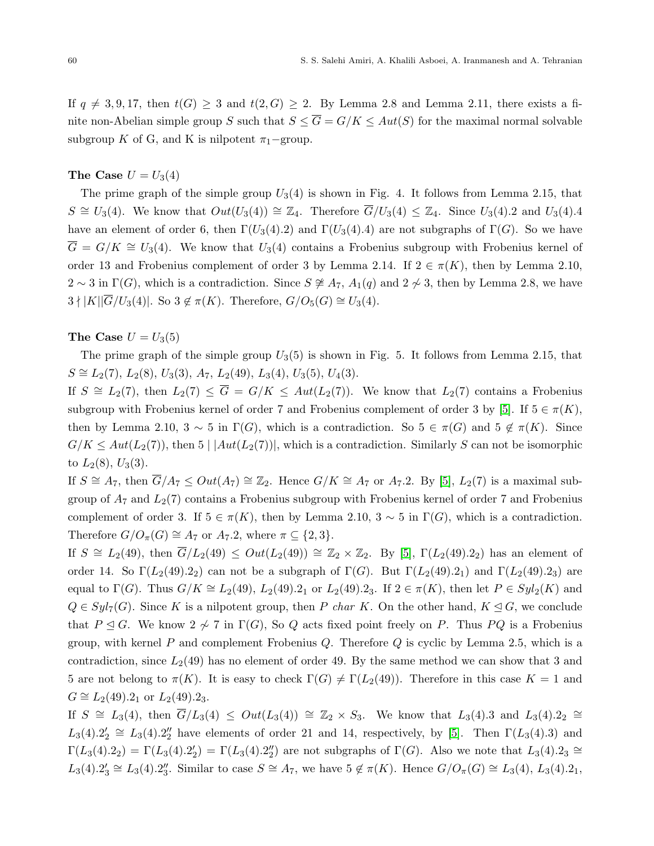If  $q \neq 3, 9, 17$ , then  $t(G) \geq 3$  and  $t(2, G) \geq 2$ . By Lemma 2.8 and Lemma 2.11, there exists a finite non-Abelian simple group S such that  $S \leq \overline{G} = G/K \leq Aut(S)$  for the maximal normal solvable subgroup K of G, and K is nilpotent  $\pi_1$ –group.

## The Case  $U = U_3(4)$

The prime graph of the simple group  $U_3(4)$  is shown in Fig. 4. It follows from Lemma 2.15, that  $S \cong U_3(4)$ . We know that  $Out(U_3(4)) \cong \mathbb{Z}_4$ . Therefore  $\overline{G}/U_3(4) \leq \mathbb{Z}_4$ . Since  $U_3(4)$ . 2 and  $U_3(4)$ . have an element of order 6, then  $\Gamma(U_3(4).2)$  and  $\Gamma(U_3(4).4)$  are not subgraphs of  $\Gamma(G)$ . So we have  $\overline{G} = G/K \cong U_3(4)$ . We know that  $U_3(4)$  contains a Frobenius subgroup with Frobenius kernel of order 13 and Frobenius complement of order 3 by Lemma 2.14. If  $2 \in \pi(K)$ , then by Lemma 2.10,  $2 \sim 3$  in  $\Gamma(G)$ , which is a contradiction. Since  $S \not\cong A_7$ ,  $A_1(q)$  and  $2 \not\sim 3$ , then by Lemma 2.8, we have  $3 \nmid |K||\overline{G}/U_3(4)|.$  So  $3 \notin \pi(K)$ . Therefore,  $G/O_5(G) \cong U_3(4)$ .

## The Case  $U = U_3(5)$

The prime graph of the simple group  $U_3(5)$  is shown in Fig. 5. It follows from Lemma 2.15, that  $S \cong L_2(7)$ ,  $L_2(8)$ ,  $U_3(3)$ ,  $A_7$ ,  $L_2(49)$ ,  $L_3(4)$ ,  $U_3(5)$ ,  $U_4(3)$ .

If  $S \cong L_2(7)$ , then  $L_2(7) \leq \overline{G} = G/K \leq Aut(L_2(7))$ . We know that  $L_2(7)$  contains a Frobenius subgroup with Frobenius kernel of order 7 and Frobenius complement of order 3 by [\[5\]](#page-14-18). If  $5 \in \pi(K)$ , then by Lemma 2.10,  $3 \sim 5$  in  $\Gamma(G)$ , which is a contradiction. So  $5 \in \pi(G)$  and  $5 \notin \pi(K)$ . Since  $G/K \leq Aut(L_2(7))$ , then  $5 \mid |Aut(L_2(7))|$ , which is a contradiction. Similarly S can not be isomorphic to  $L_2(8)$ ,  $U_3(3)$ .

If  $S \cong A_7$ , then  $\overline{G}/A_7 \leq Out(A_7) \cong \mathbb{Z}_2$ . Hence  $G/K \cong A_7$  or  $A_7.2$ . By [\[5\]](#page-14-18),  $L_2(7)$  is a maximal subgroup of  $A_7$  and  $L_2(7)$  contains a Frobenius subgroup with Frobenius kernel of order 7 and Frobenius complement of order 3. If  $5 \in \pi(K)$ , then by Lemma 2.10,  $3 \sim 5$  in  $\Gamma(G)$ , which is a contradiction. Therefore  $G/O_{\pi}(G) \cong A_7$  or  $A_7.2$ , where  $\pi \subseteq \{2,3\}.$ 

If  $S \cong L_2(49)$ , then  $\overline{G}/L_2(49) \leq Out(L_2(49)) \cong \mathbb{Z}_2 \times \mathbb{Z}_2$ . By [\[5\]](#page-14-18),  $\Gamma(L_2(49).2_2)$  has an element of order 14. So  $\Gamma(L_2(49).2_2)$  can not be a subgraph of  $\Gamma(G)$ . But  $\Gamma(L_2(49).2_1)$  and  $\Gamma(L_2(49).2_3)$  are equal to  $\Gamma(G)$ . Thus  $G/K \cong L_2(49)$ ,  $L_2(49)$ .  $2_1$  or  $L_2(49)$ .  $2_3$ . If  $2 \in \pi(K)$ , then let  $P \in Syl_2(K)$  and  $Q \in Syl_7(G)$ . Since K is a nilpotent group, then P char K. On the other hand,  $K \leq G$ , we conclude that  $P \subseteq G$ . We know  $2 \not\sim 7$  in  $\Gamma(G)$ , So Q acts fixed point freely on P. Thus PQ is a Frobenius group, with kernel P and complement Frobenius  $Q$ . Therefore  $Q$  is cyclic by Lemma 2.5, which is a contradiction, since  $L_2(49)$  has no element of order 49. By the same method we can show that 3 and 5 are not belong to  $\pi(K)$ . It is easy to check  $\Gamma(G) \neq \Gamma(L_2(49))$ . Therefore in this case  $K = 1$  and  $G \cong L_2(49).2_1$  or  $L_2(49).2_3$ .

If  $S \cong L_3(4)$ , then  $\overline{G}/L_3(4) \leq Out(L_3(4)) \cong \mathbb{Z}_2 \times S_3$ . We know that  $L_3(4).3$  and  $L_3(4).2_2 \cong$  $L_3(4).2'_2 \cong L_3(4).2''_2$  have elements of order 21 and 14, respectively, by [\[5\]](#page-14-18). Then  $\Gamma(L_3(4).3)$  and  $\Gamma(L_3(4).2_2) = \Gamma(L_3(4).2_2') = \Gamma(L_3(4).2_2'')$  are not subgraphs of  $\Gamma(G)$ . Also we note that  $L_3(4).2_3 \approx$  $L_3(4).2'_3 \cong L_3(4).2''_3$ . Similar to case  $S \cong A_7$ , we have  $5 \notin \pi(K)$ . Hence  $G/O_\pi(G) \cong L_3(4), L_3(4).2_1$ ,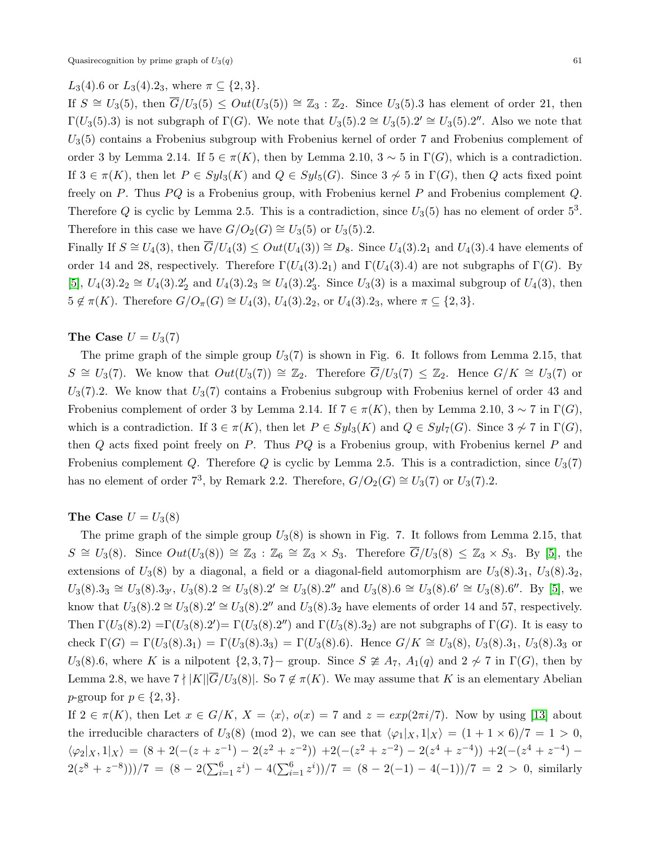# L<sub>3</sub>(4).6 or L<sub>3</sub>(4).2<sub>3</sub>, where  $\pi \subseteq \{2,3\}$ .

If  $S \cong U_3(5)$ , then  $\overline{G}/U_3(5) \leq Out(U_3(5)) \cong \mathbb{Z}_3 : \mathbb{Z}_2$ . Since  $U_3(5)$ . as element of order 21, then  $\Gamma(U_3(5).3)$  is not subgraph of  $\Gamma(G)$ . We note that  $U_3(5).2 \cong U_3(5).2' \cong U_3(5).2''.$  Also we note that  $U_3(5)$  contains a Frobenius subgroup with Frobenius kernel of order 7 and Frobenius complement of order 3 by Lemma 2.14. If  $5 \in \pi(K)$ , then by Lemma 2.10,  $3 \sim 5$  in  $\Gamma(G)$ , which is a contradiction. If  $3 \in \pi(K)$ , then let  $P \in Syl_3(K)$  and  $Q \in Syl_5(G)$ . Since  $3 \not\sim 5$  in  $\Gamma(G)$ , then Q acts fixed point freely on  $P$ . Thus  $PQ$  is a Frobenius group, with Frobenius kernel  $P$  and Frobenius complement  $Q$ . Therefore Q is cyclic by Lemma 2.5. This is a contradiction, since  $U_3(5)$  has no element of order  $5^3$ . Therefore in this case we have  $G/O_2(G) \cong U_3(5)$  or  $U_3(5)$ .2.

Finally If  $S \cong U_4(3)$ , then  $\overline{G}/U_4(3) \leq Out(U_4(3)) \cong D_8$ . Since  $U_4(3).2_1$  and  $U_4(3).4$  have elements of order 14 and 28, respectively. Therefore  $\Gamma(U_4(3).2_1)$  and  $\Gamma(U_4(3).4)$  are not subgraphs of  $\Gamma(G)$ . By [\[5\]](#page-14-18),  $U_4(3).2_2 \cong U_4(3).2_2'$  and  $U_4(3).2_3 \cong U_4(3).2_3'$ . Since  $U_3(3)$  is a maximal subgroup of  $U_4(3)$ , then  $5 \notin \pi(K)$ . Therefore  $G/O_{\pi}(G) \cong U_4(3)$ ,  $U_4(3).2_2$ , or  $U_4(3).2_3$ , where  $\pi \subseteq \{2,3\}$ .

### The Case  $U = U_3(7)$

The prime graph of the simple group  $U_3(7)$  is shown in Fig. 6. It follows from Lemma 2.15, that  $S \cong U_3(7)$ . We know that  $Out(U_3(7)) \cong \mathbb{Z}_2$ . Therefore  $\overline{G}/U_3(7) \leq \mathbb{Z}_2$ . Hence  $G/K \cong U_3(7)$  or  $U_3(7).2.$  We know that  $U_3(7)$  contains a Frobenius subgroup with Frobenius kernel of order 43 and Frobenius complement of order 3 by Lemma 2.14. If  $7 \in \pi(K)$ , then by Lemma 2.10,  $3 \sim 7$  in  $\Gamma(G)$ , which is a contradiction. If  $3 \in \pi(K)$ , then let  $P \in Syl_3(K)$  and  $Q \in Syl_7(G)$ . Since  $3 \not\sim 7$  in  $\Gamma(G)$ , then  $Q$  acts fixed point freely on P. Thus  $PQ$  is a Frobenius group, with Frobenius kernel P and Frobenius complement Q. Therefore Q is cyclic by Lemma 2.5. This is a contradiction, since  $U_3(7)$ has no element of order 7<sup>3</sup>, by Remark 2.2. Therefore,  $G/O_2(G) \cong U_3(7)$  or  $U_3(7)$ .2.

## The Case  $U = U_3(8)$

The prime graph of the simple group  $U_3(8)$  is shown in Fig. 7. It follows from Lemma 2.15, that  $S \cong U_3(8)$ . Since  $Out(U_3(8)) \cong \mathbb{Z}_3 : \mathbb{Z}_6 \cong \mathbb{Z}_3 \times S_3$ . Therefore  $\overline{G}/U_3(8) \leq \mathbb{Z}_3 \times S_3$ . By [\[5\]](#page-14-18), the extensions of  $U_3(8)$  by a diagonal, a field or a diagonal-field automorphism are  $U_3(8) \cdot 3_1$ ,  $U_3(8) \cdot 3_2$ ,  $U_3(8).3_3 \cong U_3(8).3_{3'}$ ,  $U_3(8).2 \cong U_3(8).2' \cong U_3(8).2''$  and  $U_3(8).6 \cong U_3(8).6' \cong U_3(8).6''.$  By [\[5\]](#page-14-18), we know that  $U_3(8) \text{.}2 \cong U_3(8) \text{.}2' \cong U_3(8) \text{.}2''$  and  $U_3(8) \text{.}3_2$  have elements of order 14 and 57, respectively. Then  $\Gamma(U_3(8).2) = \Gamma(U_3(8).2') = \Gamma(U_3(8).2'')$  and  $\Gamma(U_3(8).3_2)$  are not subgraphs of  $\Gamma(G)$ . It is easy to check  $\Gamma(G) = \Gamma(U_3(8).3_1) = \Gamma(U_3(8).3_3) = \Gamma(U_3(8).6)$ . Hence  $G/K \cong U_3(8), U_3(8).3_1, U_3(8).3_3$  or  $U_3(8)$ .6, where K is a nilpotent  $\{2,3,7\}$  group. Since  $S \ncong A_7$ ,  $A_1(q)$  and  $2 \nsim 7$  in  $\Gamma(G)$ , then by Lemma 2.8, we have  $7 \nmid |K||\overline{G}/U_3(8)|$ . So  $7 \notin \pi(K)$ . We may assume that K is an elementary Abelian p-group for  $p \in \{2,3\}.$ 

If  $2 \in \pi(K)$ , then Let  $x \in G/K$ ,  $X = \langle x \rangle$ ,  $o(x) = 7$  and  $z = exp(2\pi i/7)$ . Now by using [\[13\]](#page-14-23) about the irreducible characters of  $U_3(8)$  (mod 2), we can see that  $\langle \varphi_1 | x, 1 | x \rangle = (1 + 1 \times 6)/7 = 1 > 0$ ,  $\langle \varphi_2 |_{X} , 1 |_{X} \rangle = (8 + 2(- (z + z^{-1}) - 2(z^2 + z^{-2})) + 2(- (z^2 + z^{-2}) - 2(z^4 + z^{-4})) + 2(- (z^4 + z^{-4}) 2(z^8 + z^{-8}))/7 = (8 - 2(\sum_{i=1}^6 z^i) - 4(\sum_{i=1}^6 z^i))/7 = (8 - 2(-1) - 4(-1))/7 = 2 > 0$ , similarly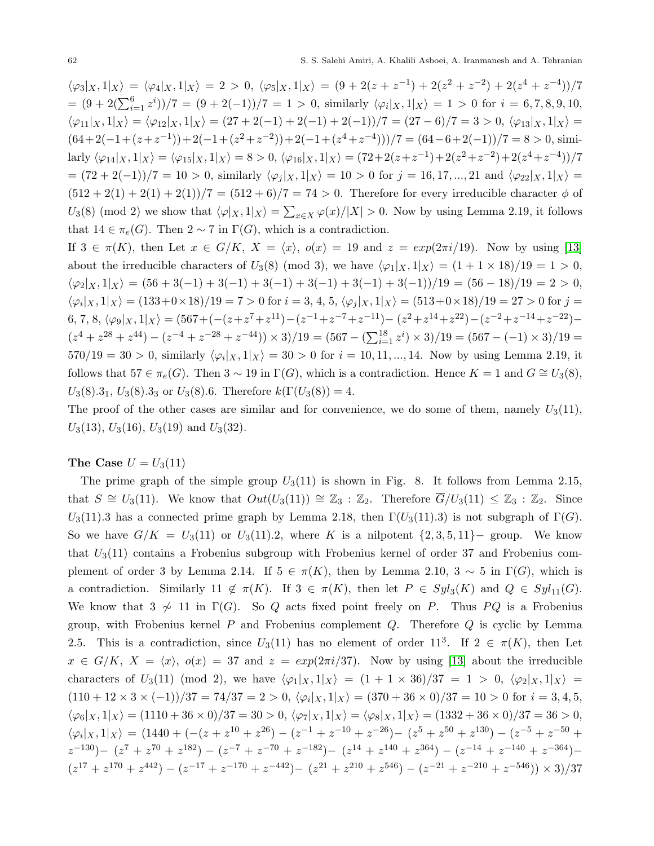$\langle \varphi_3|_X, 1|_X \rangle = \langle \varphi_4|_X, 1|_X \rangle = 2 > 0, \ \langle \varphi_5|_X, 1|_X \rangle = (9 + 2(z + z^{-1}) + 2(z^2 + z^{-2}) + 2(z^4 + z^{-4})) / 7$  $=(9+2(\sum_{i=1}^{6}z^{i}))/7 = (9+2(-1))/7 = 1 > 0$ , similarly  $\langle \varphi_i | x, 1 | x \rangle = 1 > 0$  for  $i = 6, 7, 8, 9, 10$ ,  $\langle \varphi_{11}|_X, 1|_X \rangle = \langle \varphi_{12}|_X, 1|_X \rangle = (27 + 2(-1) + 2(-1) + 2(-1))/7 = (27 - 6)/7 = 3 > 0, \langle \varphi_{13}|_X, 1|_X \rangle =$  $(64+2(-1+(z+z^{-1}))+2(-1+(z^2+z^{-2}))+2(-1+(z^4+z^{-4})))/7=(64-6+2(-1))/7=8>0,$  similarly  $\langle \varphi_{14}|_X, 1|_X \rangle = \langle \varphi_{15}|_X, 1|_X \rangle = 8 > 0, \langle \varphi_{16}|_X, 1|_X \rangle = (72 + 2(z + z^{-1}) + 2(z^2 + z^{-2}) + 2(z^4 + z^{-4}))/7$  $=(72+2(-1))/7 = 10 > 0$ , similarly  $\langle \varphi_j |_X, 1 |_X \rangle = 10 > 0$  for  $j = 16, 17, ..., 21$  and  $\langle \varphi_{22} |_X, 1 |_X \rangle =$  $(512 + 2(1) + 2(1) + 2(1))/7 = (512 + 6)/7 = 74 > 0$ . Therefore for every irreducible character  $\phi$  of  $U_3(8)$  (mod 2) we show that  $\langle \varphi |_X, 1 |_X \rangle = \sum_{x \in X} \varphi(x)/|X| > 0$ . Now by using Lemma 2.19, it follows that  $14 \in \pi_e(G)$ . Then  $2 \sim 7$  in  $\Gamma(G)$ , which is a contradiction.

If  $3 \in \pi(K)$ , then Let  $x \in G/K$ ,  $X = \langle x \rangle$ ,  $o(x) = 19$  and  $z = exp(2\pi i/19)$ . Now by using [\[13\]](#page-14-23) about the irreducible characters of  $U_3(8)$  (mod 3), we have  $\langle \varphi_1 | x, 1 | x \rangle = (1 + 1 \times 18)/19 = 1 > 0$ ,  $\langle \varphi_2 | x, 1 | x \rangle = (56 + 3(-1) + 3(-1) + 3(-1) + 3(-1) + 3(-1) + 3(-1))/19 = (56 - 18)/19 = 2 > 0,$  $\langle \varphi_i |_X, 1 |_X \rangle = (133 + 0 \times 18)/19 = 7 > 0$  for  $i = 3, 4, 5, \langle \varphi_j |_X, 1 |_X \rangle = (513 + 0 \times 18)/19 = 27 > 0$  for  $j = 1$  $(6, 7, 8, \langle \varphi_9|_X, 1|_X) = (567 + (- (z + z<sup>7</sup> + z<sup>11</sup>) - (z<sup>-1</sup> + z<sup>-7</sup> + z<sup>-11</sup>) - (z<sup>2</sup> + z<sup>14</sup> + z<sup>22</sup>) - (z<sup>-2</sup> + z<sup>-14</sup> + z<sup>-22</sup>) (z^4 + z^{28} + z^{44}) - (z^{-4} + z^{-28} + z^{-44})) \times 3)/19 = (567 - (\sum_{i=1}^{18} z^i) \times 3)/19 = (567 - (-1) \times 3)/19 =$  $570/19 = 30 > 0$ , similarly  $\langle \varphi_i |_X, 1 |_X \rangle = 30 > 0$  for  $i = 10, 11, ..., 14$ . Now by using Lemma 2.19, it follows that  $57 \in \pi_e(G)$ . Then  $3 \sim 19$  in  $\Gamma(G)$ , which is a contradiction. Hence  $K = 1$  and  $G \cong U_3(8)$ ,  $U_3(8).3_1, U_3(8).3_3$  or  $U_3(8).6$ . Therefore  $k(\Gamma(U_3(8))=4.$ 

The proof of the other cases are similar and for convenience, we do some of them, namely  $U_3(11)$ ,  $U_3(13)$ ,  $U_3(16)$ ,  $U_3(19)$  and  $U_3(32)$ .

## The Case  $U = U_3(11)$

The prime graph of the simple group  $U_3(11)$  is shown in Fig. 8. It follows from Lemma 2.15, that  $S \cong U_3(11)$ . We know that  $Out(U_3(11)) \cong \mathbb{Z}_3 : \mathbb{Z}_2$ . Therefore  $\overline{G}/U_3(11) \leq \mathbb{Z}_3 : \mathbb{Z}_2$ . Since U<sub>3</sub>(11).3 has a connected prime graph by Lemma 2.18, then  $\Gamma(U_3(11).3)$  is not subgraph of  $\Gamma(G)$ . So we have  $G/K = U_3(11)$  or  $U_3(11).2$ , where K is a nilpotent  $\{2, 3, 5, 11\}$  group. We know that  $U_3(11)$  contains a Frobenius subgroup with Frobenius kernel of order 37 and Frobenius complement of order 3 by Lemma 2.14. If  $5 \in \pi(K)$ , then by Lemma 2.10,  $3 \sim 5$  in  $\Gamma(G)$ , which is a contradiction. Similarly 11  $\notin \pi(K)$ . If  $3 \in \pi(K)$ , then let  $P \in Syl_3(K)$  and  $Q \in Syl_{11}(G)$ . We know that  $3 \nsim 11$  in  $\Gamma(G)$ . So Q acts fixed point freely on P. Thus PQ is a Frobenius group, with Frobenius kernel  $P$  and Frobenius complement  $Q$ . Therefore  $Q$  is cyclic by Lemma 2.5. This is a contradiction, since  $U_3(11)$  has no element of order 11<sup>3</sup>. If  $2 \in \pi(K)$ , then Let  $x \in G/K$ ,  $X = \langle x \rangle$ ,  $o(x) = 37$  and  $z = exp(2\pi i/37)$ . Now by using [\[13\]](#page-14-23) about the irreducible characters of  $U_3(11)$  (mod 2), we have  $\langle \varphi_1|_X, 1|_X \rangle = (1 + 1 \times 36)/37 = 1 > 0$ ,  $\langle \varphi_2|_X, 1|_X \rangle =$  $(110 + 12 \times 3 \times (-1))/37 = 74/37 = 2 > 0$ ,  $\langle \varphi_i |_X, 1 |_X \rangle = (370 + 36 \times 0)/37 = 10 > 0$  for  $i = 3, 4, 5$ ,  $\langle \varphi_6|_X, 1|_X \rangle = (1110 + 36 \times 0)/37 = 30 > 0, \langle \varphi_7|_X, 1|_X \rangle = \langle \varphi_8|_X, 1|_X \rangle = (1332 + 36 \times 0)/37 = 36 > 0,$  $\langle \varphi_i |_X, 1 |_X \rangle = (1440 + (- (z + z^{10} + z^{26}) - (z^{-1} + z^{-10} + z^{-26}) - (z^5 + z^{50} + z^{130}) - (z^{-5} + z^{-50} + z^{-50})$  $(z^{-130})- (z^{7} + z^{70} + z^{182}) - (z^{-7} + z^{-70} + z^{-182}) - (z^{14} + z^{140} + z^{364}) - (z^{-14} + z^{-140} + z^{-364}) (z^{17} + z^{170} + z^{442}) - (z^{-17} + z^{-170} + z^{-442}) - (z^{21} + z^{210} + z^{546}) - (z^{-21} + z^{-210} + z^{-546})) \times 3)/37$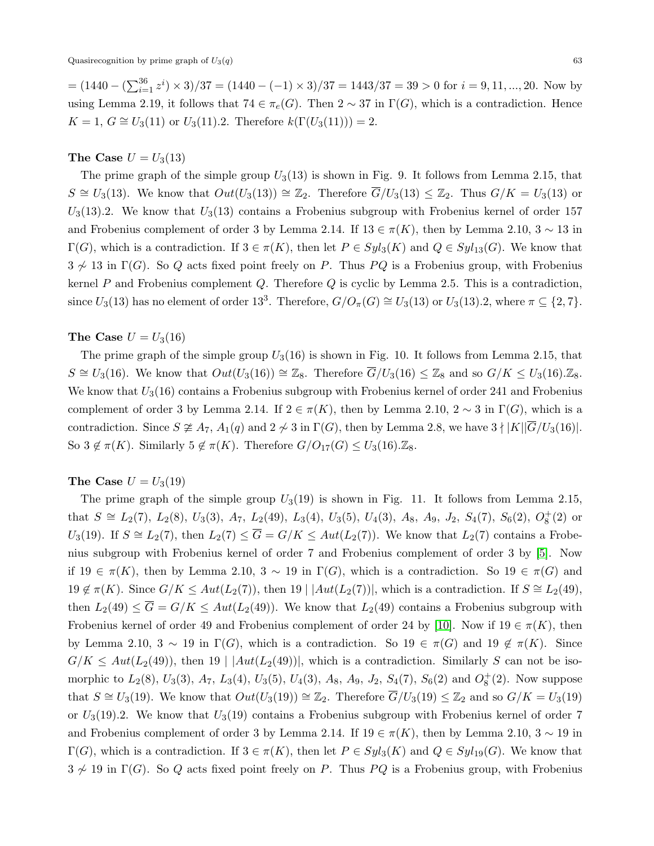$=(1440 - (\sum_{i=1}^{36} z^i) \times 3)/37 = (1440 - (-1) \times 3)/37 = 1443/37 = 39 > 0$  for  $i = 9, 11, ..., 20$ . Now by using Lemma 2.19, it follows that  $74 \in \pi_e(G)$ . Then  $2 \sim 37$  in  $\Gamma(G)$ , which is a contradiction. Hence  $K = 1, G \cong U_3(11)$  or  $U_3(11)$ .2. Therefore  $k(\Gamma(U_3(11))) = 2$ .

## The Case  $U = U_3(13)$

The prime graph of the simple group  $U_3(13)$  is shown in Fig. 9. It follows from Lemma 2.15, that  $S \cong U_3(13)$ . We know that  $Out(U_3(13)) \cong \mathbb{Z}_2$ . Therefore  $\overline{G}/U_3(13) \leq \mathbb{Z}_2$ . Thus  $G/K = U_3(13)$  or  $U_3(13).2$ . We know that  $U_3(13)$  contains a Frobenius subgroup with Frobenius kernel of order 157 and Frobenius complement of order 3 by Lemma 2.14. If  $13 \in \pi(K)$ , then by Lemma 2.10,  $3 \sim 13$  in  $\Gamma(G)$ , which is a contradiction. If  $3 \in \pi(K)$ , then let  $P \in Syl_3(K)$  and  $Q \in Syl_{13}(G)$ . We know that  $3 \not\sim 13$  in  $\Gamma(G)$ . So Q acts fixed point freely on P. Thus PQ is a Frobenius group, with Frobenius kernel  $P$  and Frobenius complement  $Q$ . Therefore  $Q$  is cyclic by Lemma 2.5. This is a contradiction, since  $U_3(13)$  has no element of order 13<sup>3</sup>. Therefore,  $G/O_\pi(G) \cong U_3(13)$  or  $U_3(13)$ .2, where  $\pi \subseteq \{2, 7\}$ .

### The Case  $U = U_3(16)$

The prime graph of the simple group  $U_3(16)$  is shown in Fig. 10. It follows from Lemma 2.15, that  $S \cong U_3(16)$ . We know that  $Out(U_3(16)) \cong \mathbb{Z}_8$ . Therefore  $\overline{G}/U_3(16) \leq \mathbb{Z}_8$  and so  $G/K \leq U_3(16) \mathbb{Z}_8$ . We know that  $U_3(16)$  contains a Frobenius subgroup with Frobenius kernel of order 241 and Frobenius complement of order 3 by Lemma 2.14. If  $2 \in \pi(K)$ , then by Lemma 2.10,  $2 \sim 3$  in  $\Gamma(G)$ , which is a contradiction. Since  $S \not\cong A_7$ ,  $A_1(q)$  and  $2 \not\sim 3$  in  $\Gamma(G)$ , then by Lemma 2.8, we have  $3 \nmid |K||\overline{G}/U_3(16)|$ . So  $3 \notin \pi(K)$ . Similarly  $5 \notin \pi(K)$ . Therefore  $G/O_{17}(G) \leq U_3(16)$ .  $\mathbb{Z}_8$ .

## The Case  $U = U_3(19)$

The prime graph of the simple group  $U_3(19)$  is shown in Fig. 11. It follows from Lemma 2.15, that  $S \cong L_2(7)$ ,  $L_2(8)$ ,  $U_3(3)$ ,  $A_7$ ,  $L_2(49)$ ,  $L_3(4)$ ,  $U_3(5)$ ,  $U_4(3)$ ,  $A_8$ ,  $A_9$ ,  $J_2$ ,  $S_4(7)$ ,  $S_6(2)$ ,  $O_8^+(2)$  or U<sub>3</sub>(19). If  $S \cong L_2(7)$ , then  $L_2(7) \leq \overline{G} = G/K \leq Aut(L_2(7))$ . We know that  $L_2(7)$  contains a Frobenius subgroup with Frobenius kernel of order 7 and Frobenius complement of order 3 by [\[5\]](#page-14-18). Now if 19 ∈ π(K), then by Lemma 2.10,  $3 \sim 19$  in  $\Gamma(G)$ , which is a contradiction. So  $19 \in \pi(G)$  and  $19 \notin \pi(K)$ . Since  $G/K \leq Aut(L_2(7))$ , then  $19 \mid |Aut(L_2(7))|$ , which is a contradiction. If  $S \cong L_2(49)$ , then  $L_2(49) \leq \overline{G} = G/K \leq Aut(L_2(49))$ . We know that  $L_2(49)$  contains a Frobenius subgroup with Frobenius kernel of order 49 and Frobenius complement of order 24 by [\[10\]](#page-14-24). Now if  $19 \in \pi(K)$ , then by Lemma 2.10,  $3 \sim 19$  in  $\Gamma(G)$ , which is a contradiction. So  $19 \in \pi(G)$  and  $19 \notin \pi(K)$ . Since  $G/K \leq Aut(L_2(49))$ , then 19 |  $|Aut(L_2(49))|$ , which is a contradiction. Similarly S can not be isomorphic to  $L_2(8)$ ,  $U_3(3)$ ,  $A_7$ ,  $L_3(4)$ ,  $U_3(5)$ ,  $U_4(3)$ ,  $A_8$ ,  $A_9$ ,  $J_2$ ,  $S_4(7)$ ,  $S_6(2)$  and  $O_8^+(2)$ . Now suppose that  $S \cong U_3(19)$ . We know that  $Out(U_3(19)) \cong \mathbb{Z}_2$ . Therefore  $\overline{G}/U_3(19) \leq \mathbb{Z}_2$  and so  $G/K = U_3(19)$ or  $U_3(19)$ . We know that  $U_3(19)$  contains a Frobenius subgroup with Frobenius kernel of order 7 and Frobenius complement of order 3 by Lemma 2.14. If  $19 \in \pi(K)$ , then by Lemma 2.10,  $3 \sim 19$  in  $\Gamma(G)$ , which is a contradiction. If  $3 \in \pi(K)$ , then let  $P \in Syl_3(K)$  and  $Q \in Syl_{19}(G)$ . We know that  $3 \not\sim 19$  in  $\Gamma(G)$ . So Q acts fixed point freely on P. Thus PQ is a Frobenius group, with Frobenius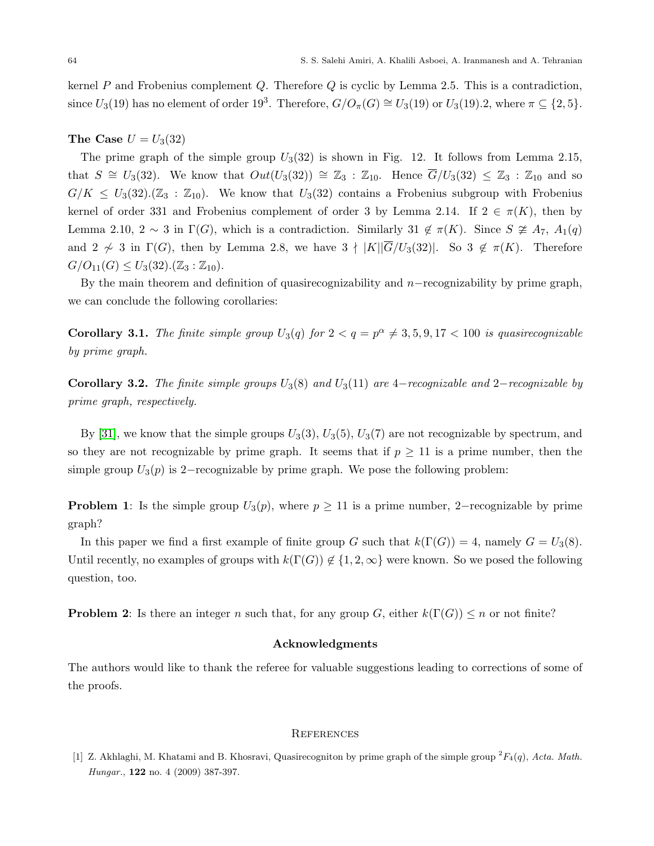kernel  $P$  and Frobenius complement  $Q$ . Therefore  $Q$  is cyclic by Lemma 2.5. This is a contradiction, since  $U_3(19)$  has no element of order  $19^3$ . Therefore,  $G/O_\pi(G) \cong U_3(19)$  or  $U_3(19)$ .2, where  $\pi \subseteq \{2, 5\}$ .

## The Case  $U = U_3(32)$

The prime graph of the simple group  $U_3(32)$  is shown in Fig. 12. It follows from Lemma 2.15, that  $S \cong U_3(32)$ . We know that  $Out(U_3(32)) \cong \mathbb{Z}_3 : \mathbb{Z}_{10}$ . Hence  $\overline{G}/U_3(32) \leq \mathbb{Z}_3 : \mathbb{Z}_{10}$  and so  $G/K \leq U_3(32)$ .  $(\mathbb{Z}_3 : \mathbb{Z}_{10})$ . We know that  $U_3(32)$  contains a Frobenius subgroup with Frobenius kernel of order 331 and Frobenius complement of order 3 by Lemma 2.14. If  $2 \in \pi(K)$ , then by Lemma 2.10, 2 ∼ 3 in  $\Gamma(G)$ , which is a contradiction. Similarly 31 ∉ π(K). Since  $S \ncong A_7$ ,  $A_1(q)$ and 2  $\sim$  3 in  $\Gamma(G)$ , then by Lemma 2.8, we have  $3 \nmid |K||\overline{G}/U_3(32)|$ . So  $3 \notin \pi(K)$ . Therefore  $G/O_{11}(G) \leq U_3(32) \cdot (\mathbb{Z}_3 : \mathbb{Z}_{10}).$ 

By the main theorem and definition of quasirecognizability and n−recognizability by prime graph, we can conclude the following corollaries:

**Corollary 3.1.** The finite simple group  $U_3(q)$  for  $2 < q = p^{\alpha} \neq 3, 5, 9, 17 < 100$  is quasirecognizable by prime graph.

Corollary 3.2. The finite simple groups  $U_3(8)$  and  $U_3(11)$  are 4−recognizable and 2−recognizable by prime graph, respectively.

By [\[31\]](#page-15-14), we know that the simple groups  $U_3(3)$ ,  $U_3(5)$ ,  $U_3(7)$  are not recognizable by spectrum, and so they are not recognizable by prime graph. It seems that if  $p \geq 11$  is a prime number, then the simple group  $U_3(p)$  is 2−recognizable by prime graph. We pose the following problem:

**Problem 1:** Is the simple group  $U_3(p)$ , where  $p \ge 11$  is a prime number, 2-recognizable by prime graph?

In this paper we find a first example of finite group G such that  $k(\Gamma(G)) = 4$ , namely  $G = U_3(8)$ . Until recently, no examples of groups with  $k(\Gamma(G)) \notin \{1, 2, \infty\}$  were known. So we posed the following question, too.

**Problem 2:** Is there an integer n such that, for any group G, either  $k(\Gamma(G)) \leq n$  or not finite?

## Acknowledgments

The authors would like to thank the referee for valuable suggestions leading to corrections of some of the proofs.

## **REFERENCES**

<span id="page-13-0"></span>[1] Z. Akhlaghi, M. Khatami and B. Khosravi, Quasirecogniton by prime graph of the simple group  ${}^{2}F_{4}(q)$ , Acta. Math. Hungar., 122 no. 4 (2009) 387-397.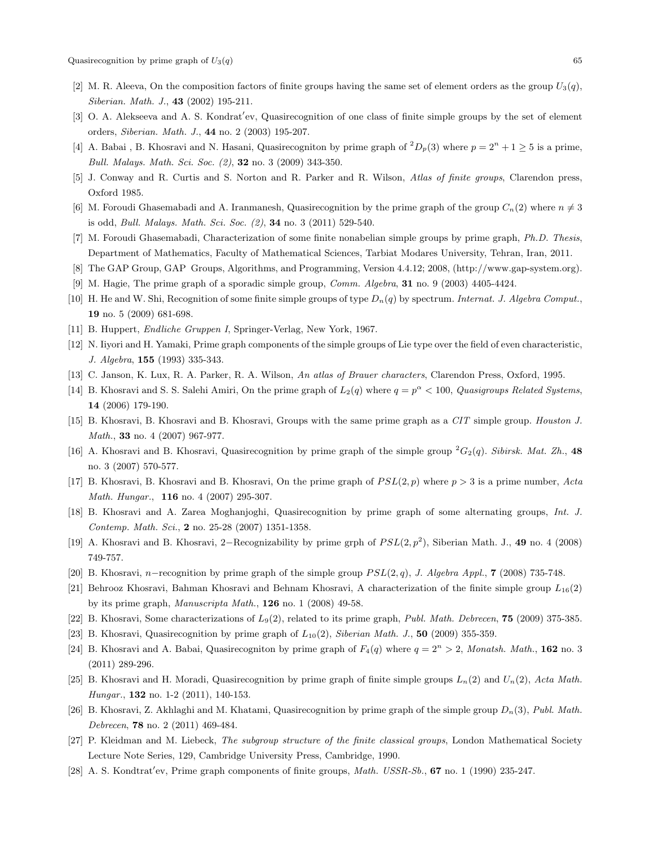- <span id="page-14-20"></span>[2] M. R. Aleeva, On the composition factors of finite groups having the same set of element orders as the group  $U_3(q)$ , Siberian. Math. J., 43 (2002) 195-211.
- <span id="page-14-0"></span>[3] O. A. Alekseeva and A. S. Kondrat'ev, Quasirecognition of one class of finite simple groups by the set of element orders, Siberian. Math. J., 44 no. 2 (2003) 195-207.
- <span id="page-14-14"></span>[4] A. Babai, B. Khosravi and N. Hasani, Quasirecogniton by prime graph of  ${}^2D_p(3)$  where  $p = 2^n + 1 \ge 5$  is a prime, Bull. Malays. Math. Sci. Soc. (2), 32 no. 3 (2009) 343-350.
- <span id="page-14-18"></span>[5] J. Conway and R. Curtis and S. Norton and R. Parker and R. Wilson, Atlas of finite groups, Clarendon press, Oxford 1985.
- <span id="page-14-15"></span>[6] M. Foroudi Ghasemabadi and A. Iranmanesh, Quasirecognition by the prime graph of the group  $C_n(2)$  where  $n \neq 3$ is odd, Bull. Malays. Math. Sci. Soc. (2), 34 no. 3 (2011) 529-540.
- <span id="page-14-17"></span>[7] M. Foroudi Ghasemabadi, Characterization of some finite nonabelian simple groups by prime graph, Ph.D. Thesis, Department of Mathematics, Faculty of Mathematical Sciences, Tarbiat Modares University, Tehran, Iran, 2011.
- [8] The GAP Group, GAP Groups, Algorithms, and Programming, Version 4.4.12; 2008, (http://www.gap-system.org).
- <span id="page-14-5"></span>[9] M. Hagie, The prime graph of a sporadic simple group, Comm. Algebra, 31 no. 9 (2003) 4405-4424.
- <span id="page-14-24"></span>[10] H. He and W. Shi, Recognition of some finite simple groups of type  $D_n(q)$  by spectrum. Internat. J. Algebra Comput., 19 no. 5 (2009) 681-698.
- <span id="page-14-19"></span>[11] B. Huppert, Endliche Gruppen I, Springer-Verlag, New York, 1967.
- <span id="page-14-3"></span>[12] N. Iiyori and H. Yamaki, Prime graph components of the simple groups of Lie type over the field of even characteristic, J. Algebra, 155 (1993) 335-343.
- <span id="page-14-23"></span>[13] C. Janson, K. Lux, R. A. Parker, R. A. Wilson, An atlas of Brauer characters, Clarendon Press, Oxford, 1995.
- <span id="page-14-7"></span>[14] B. Khosravi and S. S. Salehi Amiri, On the prime graph of  $L_2(q)$  where  $q = p^{\alpha} < 100$ , Quasigroups Related Systems, 14 (2006) 179-190.
- <span id="page-14-6"></span>[15] B. Khosravi, B. Khosravi and B. Khosravi, Groups with the same prime graph as a CIT simple group. Houston J. Math., 33 no. 4 (2007) 967-977.
- <span id="page-14-1"></span>[16] A. Khosravi and B. Khosravi, Quasirecognition by prime graph of the simple group  ${}^2G_2(q)$ . Sibirsk. Mat. Zh., 48 no. 3 (2007) 570-577.
- <span id="page-14-8"></span>[17] B. Khosravi, B. Khosravi and B. Khosravi, On the prime graph of  $PSL(2, p)$  where  $p > 3$  is a prime number, Acta Math. Hungar., 116 no. 4 (2007) 295-307.
- <span id="page-14-11"></span>[18] B. Khosravi and A. Zarea Moghanjoghi, Quasirecognition by prime graph of some alternating groups, Int. J. Contemp. Math. Sci., 2 no. 25-28 (2007) 1351-1358.
- <span id="page-14-2"></span>[19] A. Khosravi and B. Khosravi, 2-Recognizability by prime grph of  $PSL(2, p^2)$ , Siberian Math. J., 49 no. 4 (2008) 749-757.
- <span id="page-14-9"></span>[20] B. Khosravi, n–recognition by prime graph of the simple group  $PSL(2,q)$ , J. Algebra Appl., 7 (2008) 735-748.
- <span id="page-14-10"></span>[21] Behrooz Khosravi, Bahman Khosravi and Behnam Khosravi, A characterization of the finite simple group  $L_{16}(2)$ by its prime graph, Manuscripta Math., 126 no. 1 (2008) 49-58.
- <span id="page-14-12"></span>[22] B. Khosravi, Some characterizations of  $L_9(2)$ , related to its prime graph, *Publ. Math. Debrecen*, **75** (2009) 375-385.
- <span id="page-14-13"></span>[23] B. Khosravi, Quasirecognition by prime graph of  $L_{10}(2)$ , Siberian Math. J., 50 (2009) 355-359.
- [24] B. Khosravi and A. Babai, Quasirecogniton by prime graph of  $F_4(q)$  where  $q = 2^n > 2$ , Monatsh. Math., 162 no. 3 (2011) 289-296.
- <span id="page-14-16"></span>[25] B. Khosravi and H. Moradi, Quasirecognition by prime graph of finite simple groups  $L_n(2)$  and  $U_n(2)$ , Acta Math. Hungar., **132** no. 1-2 (2011), 140-153.
- <span id="page-14-21"></span>[26] B. Khosravi, Z. Akhlaghi and M. Khatami, Quasirecognition by prime graph of the simple group  $D_n(3)$ , Publ. Math. Debrecen, 78 no. 2 (2011) 469-484.
- <span id="page-14-22"></span>[27] P. Kleidman and M. Liebeck, The subgroup structure of the finite classical groups, London Mathematical Society Lecture Note Series, 129, Cambridge University Press, Cambridge, 1990.
- <span id="page-14-4"></span>[28] A. S. Kondtrat'ev, Prime graph components of finite groups,  $Math.$  USSR-Sb., 67 no. 1 (1990) 235-247.